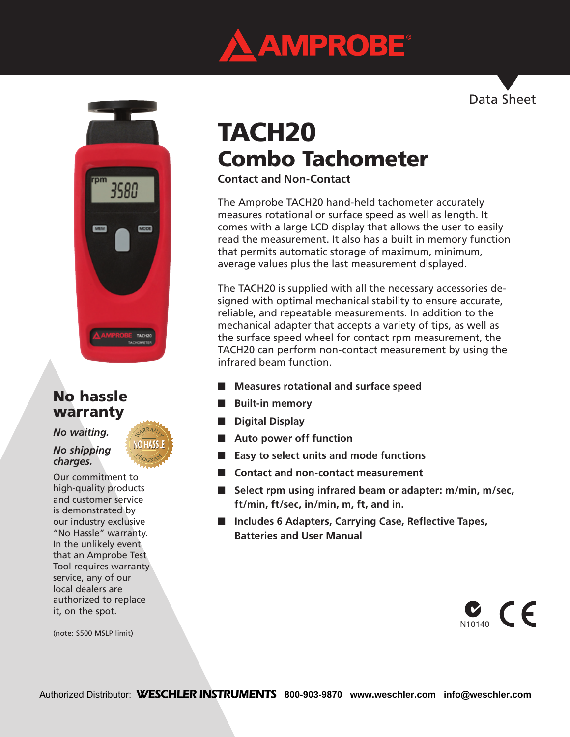

Data Sheet



## No hassle warranty

*No waiting.* 

*No shipping charges.*

Our commitment to high-quality products and customer service is demonstrated by our industry exclusive "No Hassle" warranty. In the unlikely event that an Amprobe Test Tool requires warranty service, any of our local dealers are authorized to replace it, on the spot.

(note: \$500 MSLP limit)

# TACH20 Combo Tachometer

**Contact and Non-Contact**

The Amprobe TACH20 hand-held tachometer accurately measures rotational or surface speed as well as length. It comes with a large LCD display that allows the user to easily read the measurement. It also has a built in memory function that permits automatic storage of maximum, minimum, average values plus the last measurement displayed.

The TACH20 is supplied with all the necessary accessories designed with optimal mechanical stability to ensure accurate, reliable, and repeatable measurements. In addition to the mechanical adapter that accepts a variety of tips, as well as the surface speed wheel for contact rpm measurement, the TACH20 can perform non-contact measurement by using the infrared beam function.

- Measures rotational and surface speed
- **Built-in memory**
- **Digital Display**
- Auto power off function
- **Easy to select units and mode functions**
- **Contact and non-contact measurement**
- Select rpm using infrared beam or adapter: m/min, m/sec, **ft/min, ft/sec, in/min, m, ft, and in.**
- **Includes 6 Adapters, Carrying Case, Reflective Tapes, Batteries and User Manual**